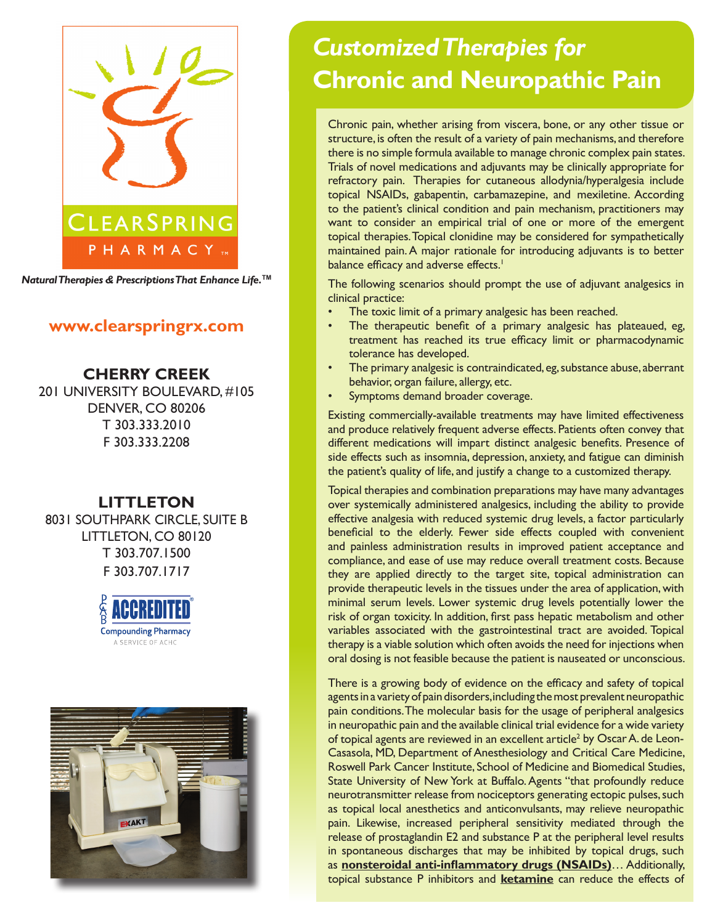

*Natural Therapies & Prescriptions That Enhance Life.***TM**

## **www.clearspringrx.com**

**CHERRY CREEK** 201 UNIVERSITY BOULEVARD, #105 DENVER, CO 80206 T 303.333.2010 F 303.333.2208

# **LITTLETON**

8031 SOUTHPARK CIRCLE, SUITE B LITTLETON, CO 80120 T 303.707.1500 F 303.707.1717





# *Customized Therapies for*  **Chronic and Neuropathic Pain**

Chronic pain, whether arising from viscera, bone, or any other tissue or structure, is often the result of a variety of pain mechanisms, and therefore there is no simple formula available to manage chronic complex pain states. Trials of novel medications and adjuvants may be clinically appropriate for refractory pain. Therapies for cutaneous allodynia/hyperalgesia include topical NSAIDs, gabapentin, carbamazepine, and mexiletine. According to the patient's clinical condition and pain mechanism, practitioners may want to consider an empirical trial of one or more of the emergent topical therapies. Topical clonidine may be considered for sympathetically maintained pain. A major rationale for introducing adjuvants is to better balance efficacy and adverse effects.<sup>1</sup>

The following scenarios should prompt the use of adjuvant analgesics in clinical practice:

- The toxic limit of a primary analgesic has been reached.
- The therapeutic benefit of a primary analgesic has plateaued, eg, treatment has reached its true efficacy limit or pharmacodynamic tolerance has developed.
- The primary analgesic is contraindicated, eg, substance abuse, aberrant behavior, organ failure, allergy, etc.
- Symptoms demand broader coverage.

Existing commercially-available treatments may have limited effectiveness and produce relatively frequent adverse effects. Patients often convey that different medications will impart distinct analgesic benefits. Presence of side effects such as insomnia, depression, anxiety, and fatigue can diminish the patient's quality of life, and justify a change to a customized therapy.

Topical therapies and combination preparations may have many advantages over systemically administered analgesics, including the ability to provide effective analgesia with reduced systemic drug levels, a factor particularly beneficial to the elderly. Fewer side effects coupled with convenient and painless administration results in improved patient acceptance and compliance, and ease of use may reduce overall treatment costs. Because they are applied directly to the target site, topical administration can provide therapeutic levels in the tissues under the area of application, with minimal serum levels. Lower systemic drug levels potentially lower the risk of organ toxicity. In addition, first pass hepatic metabolism and other variables associated with the gastrointestinal tract are avoided. Topical therapy is a viable solution which often avoids the need for injections when oral dosing is not feasible because the patient is nauseated or unconscious.

There is a growing body of evidence on the efficacy and safety of topical agents in a variety of pain disorders, including the most prevalent neuropathic pain conditions. The molecular basis for the usage of peripheral analgesics in neuropathic pain and the available clinical trial evidence for a wide variety of topical agents are reviewed in an excellent article<sup>2</sup> by Oscar A. de Leon-Casasola, MD, Department of Anesthesiology and Critical Care Medicine, Roswell Park Cancer Institute, School of Medicine and Biomedical Studies, State University of New York at Buffalo. Agents "that profoundly reduce neurotransmitter release from nociceptors generating ectopic pulses, such as topical local anesthetics and anticonvulsants, may relieve neuropathic pain. Likewise, increased peripheral sensitivity mediated through the release of prostaglandin E2 and substance P at the peripheral level results in spontaneous discharges that may be inhibited by topical drugs, such as **nonsteroidal anti-inflammatory drugs (NSAIDs)**… Additionally, topical substance P inhibitors and **ketamine** can reduce the effects of